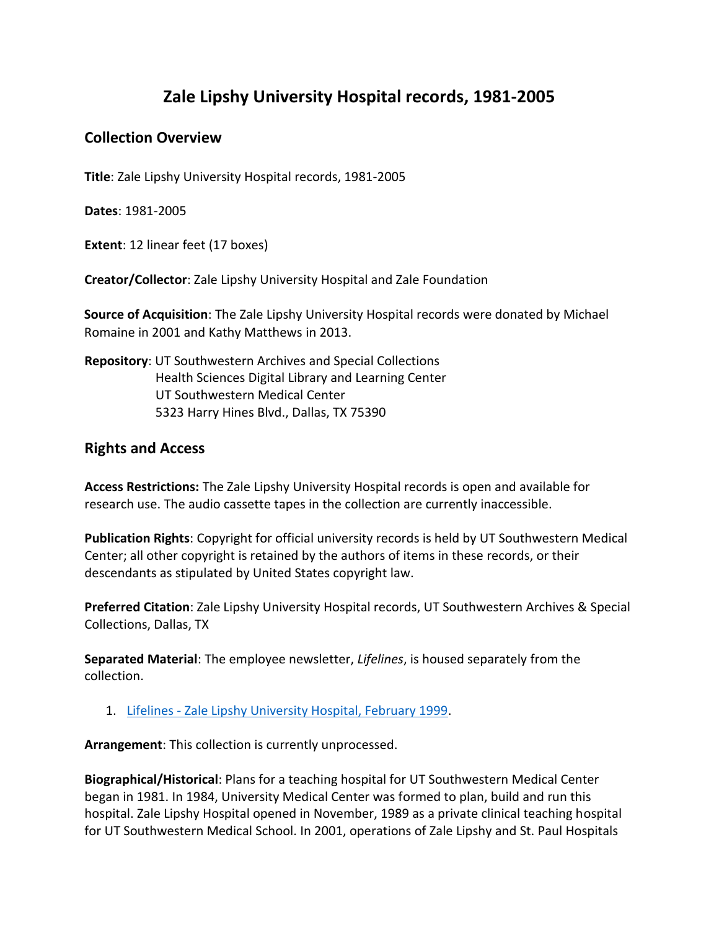## **Zale Lipshy University Hospital records, 1981-2005**

## **Collection Overview**

**Title**: Zale Lipshy University Hospital records, 1981-2005

**Dates**: 1981-2005

**Extent**: 12 linear feet (17 boxes)

**Creator/Collector**: Zale Lipshy University Hospital and Zale Foundation

**Source of Acquisition**: The Zale Lipshy University Hospital records were donated by Michael Romaine in 2001 and Kathy Matthews in 2013.

## **Repository**: UT Southwestern Archives and Special Collections Health Sciences Digital Library and Learning Center UT Southwestern Medical Center 5323 Harry Hines Blvd., Dallas, TX 75390

## **Rights and Access**

**Access Restrictions:** The Zale Lipshy University Hospital records is open and available for research use. The audio cassette tapes in the collection are currently inaccessible.

**Publication Rights**: Copyright for official university records is held by UT Southwestern Medical Center; all other copyright is retained by the authors of items in these records, or their descendants as stipulated by United States copyright law.

**Preferred Citation**: Zale Lipshy University Hospital records, UT Southwestern Archives & Special Collections, Dallas, TX

**Separated Material**: The employee newsletter, *Lifelines*, is housed separately from the collection.

1. Lifelines - [Zale Lipshy University Hospital, February 1999.](https://utswm.bywatersolutions.com/cgi-bin/koha/opac-detail.pl?biblionumber=261)

**Arrangement**: This collection is currently unprocessed.

**Biographical/Historical**: Plans for a teaching hospital for UT Southwestern Medical Center began in 1981. In 1984, University Medical Center was formed to plan, build and run this hospital. Zale Lipshy Hospital opened in November, 1989 as a private clinical teaching hospital for UT Southwestern Medical School. In 2001, operations of Zale Lipshy and St. Paul Hospitals